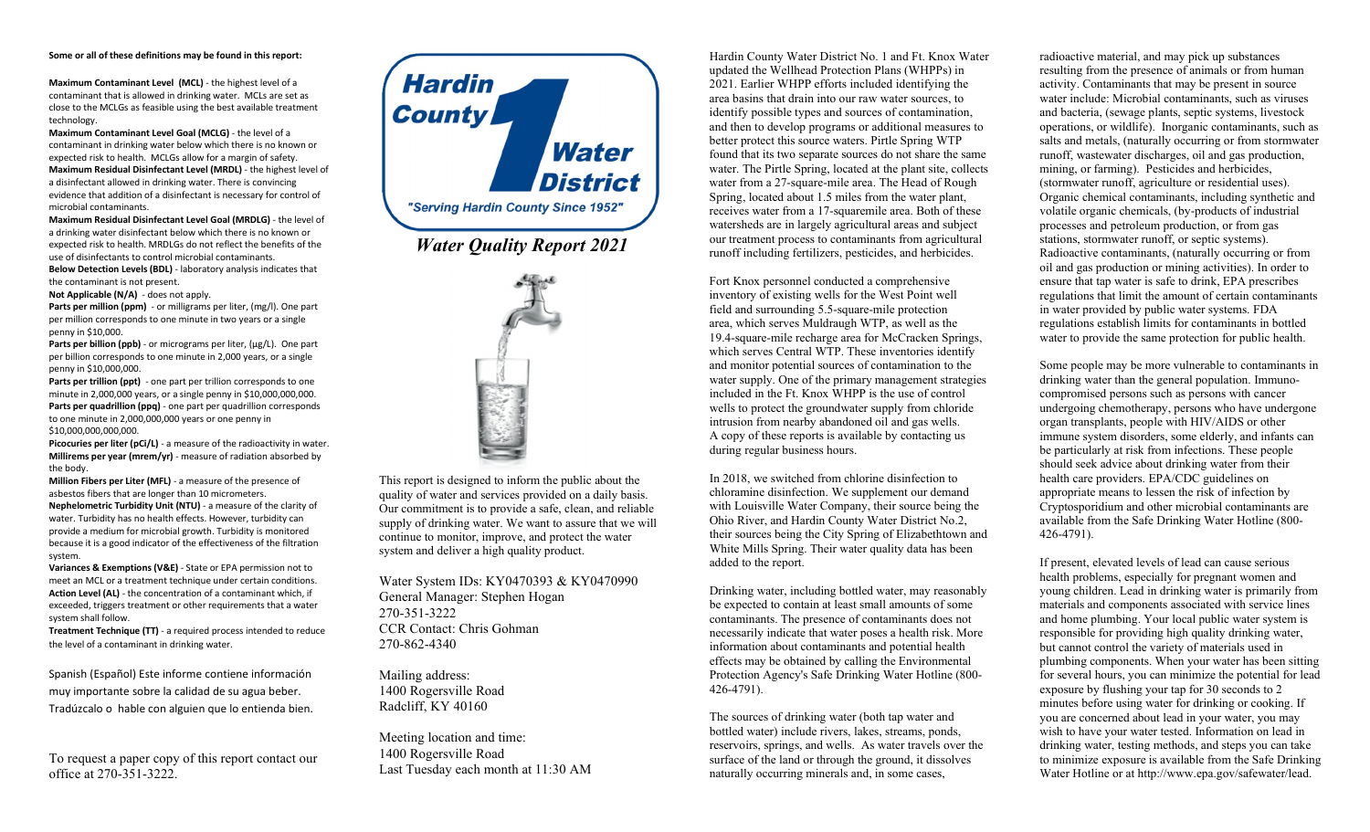## **Some or all of these definitions may be found in this report:**

**Maximum Contaminant Level (MCL)** - the highest level of a contaminant that is allowed in drinking water. MCLs are set as close to the MCLGs as feasible using the best available treatment technology.

**Maximum Contaminant Level Goal (MCLG)** - the level of a contaminant in drinking water below which there is no known or expected risk to health. MCLGs allow for a margin of safety. **Maximum Residual Disinfectant Level (MRDL)** - the highest level of a disinfectant allowed in drinking water. There is convincing evidence that addition of a disinfectant is necessary for control of microbial contaminants.

**Maximum Residual Disinfectant Level Goal (MRDLG)** - the level of a drinking water disinfectant below which there is no known or expected risk to health. MRDLGs do not reflect the benefits of the use of disinfectants to control microbial contaminants. **Below Detection Levels (BDL)** - laboratory analysis indicates that the contaminant is not present.

**Not Applicable (N/A)** - does not apply.

Parts per million (ppm) - or milligrams per liter, (mg/l). One part per million corresponds to one minute in two years or a single penny in \$10,000.

Parts per billion (ppb) - or micrograms per liter, (µg/L). One part per billion corresponds to one minute in 2,000 years, or a single penny in \$10,000,000.

Parts per trillion (ppt) - one part per trillion corresponds to one minute in 2,000,000 years, or a single penny in \$10,000,000,000. **Parts per quadrillion (ppq)** - one part per quadrillion corresponds to one minute in 2,000,000,000 years or one penny in \$10,000,000,000,000.

**Picocuries per liter (pCi/L)** - a measure of the radioactivity in water. **Millirems per year (mrem/yr)** - measure of radiation absorbed by the body.

**Million Fibers per Liter (MFL)** - a measure of the presence of asbestos fibers that are longer than 10 micrometers. **Nephelometric Turbidity Unit (NTU)** - a measure of the clarity of water. Turbidity has no health effects. However, turbidity can provide a medium for microbial growth. Turbidity is monitored because it is a good indicator of the effectiveness of the filtration system.

**Variances & Exemptions (V&E)** - State or EPA permission not to meet an MCL or a treatment technique under certain conditions. **Action Level (AL)** - the concentration of a contaminant which, if exceeded, triggers treatment or other requirements that a water system shall follow.

**Treatment Technique (TT)** - a required process intended to reduce the level of a contaminant in drinking water.

Spanish (Español) Este informe contiene información muy importante sobre la calidad de su agua beber. Tradúzcalo o hable con alguien que lo entienda bien.

To request a paper copy of this report contact our office at 270-351-3222.





This report is designed to inform the public about the quality of water and services provided on a daily basis. Our commitment is to provide a safe, clean, and reliable supply of drinking water. We want to assure that we will continue to monitor, improve, and protect the water system and deliver a high quality product.

Water System IDs: KY0470393 & KY0470990 General Manager: Stephen Hogan 270-351-3222 CCR Contact: Chris Gohman 270-862-4340

Mailing address: 1400 Rogersville Road Radcliff, KY 40160

Meeting location and time: 1400 Rogersville Road Last Tuesday each month at 11:30 AM Hardin County Water District No. 1 and Ft. Knox Water updated the Wellhead Protection Plans (WHPPs) in 2021. Earlier WHPP efforts included identifying the area basins that drain into our raw water sources, to identify possible types and sources of contamination, and then to develop programs or additional measures to better protect this source waters. Pirtle Spring WTP found that its two separate sources do not share the same water. The Pirtle Spring, located at the plant site, collects water from a 27-square-mile area. The Head of Rough Spring, located about 1.5 miles from the water plant, receives water from a 17-squaremile area. Both of these watersheds are in largely agricultural areas and subject our treatment process to contaminants from agricultural runoff including fertilizers, pesticides, and herbicides.

Fort Knox personnel conducted a comprehensive inventory of existing wells for the West Point well field and surrounding 5.5-square-mile protection area, which serves Muldraugh WTP, as well as the 19.4-square-mile recharge area for McCracken Springs, which serves Central WTP. These inventories identify and monitor potential sources of contamination to the water supply. One of the primary management strategies included in the Ft. Knox WHPP is the use of control wells to protect the groundwater supply from chloride intrusion from nearby abandoned oil and gas wells. A copy of these reports is available by contacting us during regular business hours.

In 2018, we switched from chlorine disinfection to chloramine disinfection. We supplement our demand with Louisville Water Company, their source being the Ohio River, and Hardin County Water District No.2, their sources being the City Spring of Elizabethtown and White Mills Spring. Their water quality data has been added to the report.

Drinking water, including bottled water, may reasonably be expected to contain at least small amounts of some contaminants. The presence of contaminants does not necessarily indicate that water poses a health risk. More information about contaminants and potential health effects may be obtained by calling the Environmental Protection Agency's Safe Drinking Water Hotline (800- 426-4791).

The sources of drinking water (both tap water and bottled water) include rivers, lakes, streams, ponds, reservoirs, springs, and wells. As water travels over the surface of the land or through the ground, it dissolves naturally occurring minerals and, in some cases,

radioactive material, and may pick up substances resulting from the presence of animals or from human activity. Contaminants that may be present in source water include: Microbial contaminants, such as viruses and bacteria, (sewage plants, septic systems, livestock operations, or wildlife). Inorganic contaminants, such as salts and metals, (naturally occurring or from stormwater runoff, wastewater discharges, oil and gas production, mining, or farming). Pesticides and herbicides, (stormwater runoff, agriculture or residential uses). Organic chemical contaminants, including synthetic and volatile organic chemicals, (by-products of industrial processes and petroleum production, or from gas stations, stormwater runoff, or septic systems). Radioactive contaminants, (naturally occurring or from oil and gas production or mining activities). In order to ensure that tap water is safe to drink, EPA prescribes regulations that limit the amount of certain contaminants in water provided by public water systems. FDA regulations establish limits for contaminants in bottled water to provide the same protection for public health.

Some people may be more vulnerable to contaminants in drinking water than the general population. Immunocompromised persons such as persons with cancer undergoing chemotherapy, persons who have undergone organ transplants, people with HIV/AIDS or other immune system disorders, some elderly, and infants can be particularly at risk from infections. These people should seek advice about drinking water from their health care providers. EPA/CDC guidelines on appropriate means to lessen the risk of infection by Cryptosporidium and other microbial contaminants are available from the Safe Drinking Water Hotline (800- 426-4791).

If present, elevated levels of lead can cause serious health problems, especially for pregnant women and young children. Lead in drinking water is primarily from materials and components associated with service lines and home plumbing. Your local public water system is responsible for providing high quality drinking water, but cannot control the variety of materials used in plumbing components. When your water has been sitting for several hours, you can minimize the potential for lead exposure by flushing your tap for 30 seconds to 2 minutes before using water for drinking or cooking. If you are concerned about lead in your water, you may wish to have your water tested. Information on lead in drinking water, testing methods, and steps you can take to minimize exposure is available from the Safe Drinking Water Hotline or at http://www.epa.gov/safewater/lead.